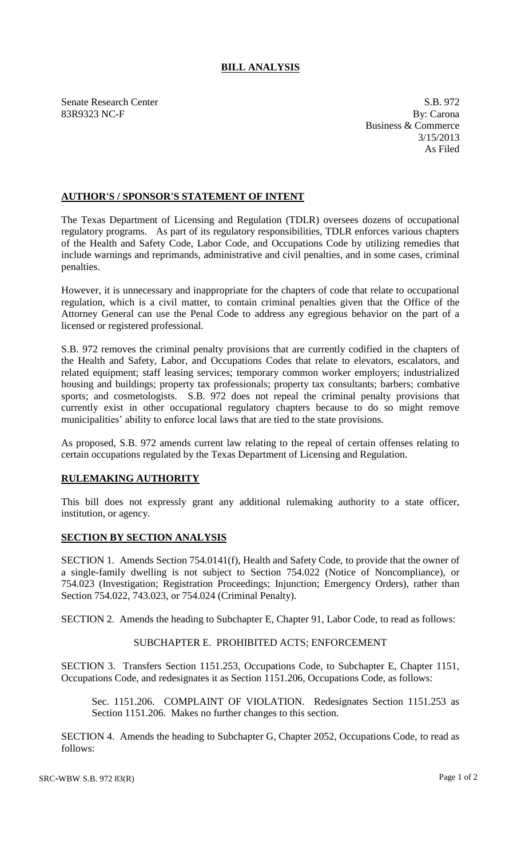## **BILL ANALYSIS**

Senate Research Center S.B. 972 83R9323 NC-F By: Carona

Business & Commerce 3/15/2013 As Filed

### **AUTHOR'S / SPONSOR'S STATEMENT OF INTENT**

The Texas Department of Licensing and Regulation (TDLR) oversees dozens of occupational regulatory programs. As part of its regulatory responsibilities, TDLR enforces various chapters of the Health and Safety Code, Labor Code, and Occupations Code by utilizing remedies that include warnings and reprimands, administrative and civil penalties, and in some cases, criminal penalties.

However, it is unnecessary and inappropriate for the chapters of code that relate to occupational regulation, which is a civil matter, to contain criminal penalties given that the Office of the Attorney General can use the Penal Code to address any egregious behavior on the part of a licensed or registered professional.

S.B. 972 removes the criminal penalty provisions that are currently codified in the chapters of the Health and Safety, Labor, and Occupations Codes that relate to elevators, escalators, and related equipment; staff leasing services; temporary common worker employers; industrialized housing and buildings; property tax professionals; property tax consultants; barbers; combative sports; and cosmetologists. S.B. 972 does not repeal the criminal penalty provisions that currently exist in other occupational regulatory chapters because to do so might remove municipalities' ability to enforce local laws that are tied to the state provisions.

As proposed, S.B. 972 amends current law relating to the repeal of certain offenses relating to certain occupations regulated by the Texas Department of Licensing and Regulation.

# **RULEMAKING AUTHORITY**

This bill does not expressly grant any additional rulemaking authority to a state officer, institution, or agency.

### **SECTION BY SECTION ANALYSIS**

SECTION 1. Amends Section 754.0141(f), Health and Safety Code, to provide that the owner of a single-family dwelling is not subject to Section 754.022 (Notice of Noncompliance), or 754.023 (Investigation; Registration Proceedings; Injunction; Emergency Orders), rather than Section 754.022, 743.023, or 754.024 (Criminal Penalty).

SECTION 2. Amends the heading to Subchapter E, Chapter 91, Labor Code, to read as follows:

### SUBCHAPTER E. PROHIBITED ACTS; ENFORCEMENT

SECTION 3. Transfers Section 1151.253, Occupations Code, to Subchapter E, Chapter 1151, Occupations Code, and redesignates it as Section 1151.206, Occupations Code, as follows:

Sec. 1151.206. COMPLAINT OF VIOLATION. Redesignates Section 1151.253 as Section 1151.206. Makes no further changes to this section.

SECTION 4. Amends the heading to Subchapter G, Chapter 2052, Occupations Code, to read as follows: